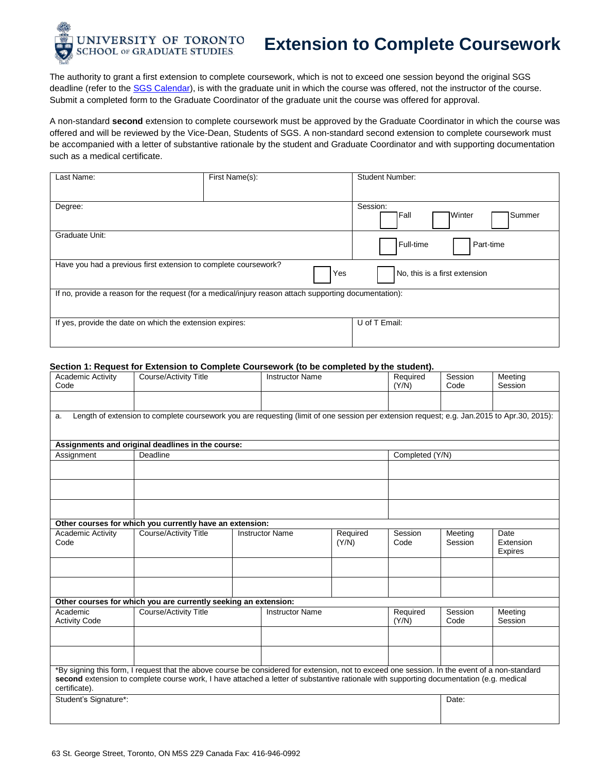

# **Extension to Complete Coursework**

The authority to grant a first extension to complete coursework, which is not to exceed one session beyond the original SGS deadline (refer to th[e SGS Calendar\)](http://www.sgs.utoronto.ca/calendar/Pages/default.aspx), is with the graduate unit in which the course was offered, not the instructor of the course. Submit a completed form to the Graduate Coordinator of the graduate unit the course was offered for approval.

A non-standard **second** extension to complete coursework must be approved by the Graduate Coordinator in which the course was offered and will be reviewed by the Vice-Dean, Students of SGS. A non-standard second extension to complete coursework must be accompanied with a letter of substantive rationale by the student and Graduate Coordinator and with supporting documentation such as a medical certificate.

| Last Name:                                                      | First Name(s):                                                                                         | <b>Student Number:</b>                         |
|-----------------------------------------------------------------|--------------------------------------------------------------------------------------------------------|------------------------------------------------|
| Degree:                                                         |                                                                                                        | Session:<br><b>1</b> Winter<br>Summer<br> Fall |
| Graduate Unit:                                                  |                                                                                                        | Full-time<br>Part-time                         |
| Have you had a previous first extension to complete coursework? | Yes                                                                                                    | No, this is a first extension                  |
|                                                                 | If no, provide a reason for the request (for a medical/injury reason attach supporting documentation): |                                                |
| If yes, provide the date on which the extension expires:        |                                                                                                        | U of T Email:                                  |

#### **Section 1: Request for Extension to Complete Coursework (to be completed by the student).**

| <b>Academic Activity</b><br>Code | <b>Course/Activity Title</b>                                                                                                                                                                                                                                                             |                        | <b>Instructor Name</b> |                   | Required<br>(Y/N) | Session<br>Code    | Meeting<br>Session           |  |
|----------------------------------|------------------------------------------------------------------------------------------------------------------------------------------------------------------------------------------------------------------------------------------------------------------------------------------|------------------------|------------------------|-------------------|-------------------|--------------------|------------------------------|--|
|                                  |                                                                                                                                                                                                                                                                                          |                        |                        |                   |                   |                    |                              |  |
| a.                               | Length of extension to complete coursework you are requesting (limit of one session per extension request; e.g. Jan.2015 to Apr.30, 2015):                                                                                                                                               |                        |                        |                   |                   |                    |                              |  |
|                                  |                                                                                                                                                                                                                                                                                          |                        |                        |                   |                   |                    |                              |  |
|                                  | Assignments and original deadlines in the course:                                                                                                                                                                                                                                        |                        |                        |                   |                   |                    |                              |  |
| Assignment                       | Deadline                                                                                                                                                                                                                                                                                 |                        |                        |                   | Completed (Y/N)   |                    |                              |  |
|                                  |                                                                                                                                                                                                                                                                                          |                        |                        |                   |                   |                    |                              |  |
|                                  |                                                                                                                                                                                                                                                                                          |                        |                        |                   |                   |                    |                              |  |
|                                  |                                                                                                                                                                                                                                                                                          |                        |                        |                   |                   |                    |                              |  |
|                                  | Other courses for which you currently have an extension:                                                                                                                                                                                                                                 |                        |                        |                   |                   |                    |                              |  |
| <b>Academic Activity</b><br>Code | <b>Course/Activity Title</b>                                                                                                                                                                                                                                                             | <b>Instructor Name</b> |                        | Required<br>(Y/N) | Session<br>Code   | Meeting<br>Session | Date<br>Extension<br>Expires |  |
|                                  |                                                                                                                                                                                                                                                                                          |                        |                        |                   |                   |                    |                              |  |
|                                  |                                                                                                                                                                                                                                                                                          |                        |                        |                   |                   |                    |                              |  |
|                                  | Other courses for which you are currently seeking an extension:                                                                                                                                                                                                                          |                        |                        |                   |                   |                    |                              |  |
| Academic<br><b>Activity Code</b> | <b>Course/Activity Title</b>                                                                                                                                                                                                                                                             |                        | <b>Instructor Name</b> |                   | Required<br>(Y/N) | Session<br>Code    | Meeting<br>Session           |  |
|                                  |                                                                                                                                                                                                                                                                                          |                        |                        |                   |                   |                    |                              |  |
|                                  |                                                                                                                                                                                                                                                                                          |                        |                        |                   |                   |                    |                              |  |
| certificate).                    | *By signing this form, I request that the above course be considered for extension, not to exceed one session. In the event of a non-standard<br>second extension to complete course work, I have attached a letter of substantive rationale with supporting documentation (e.g. medical |                        |                        |                   |                   |                    |                              |  |
| Student's Signature*:<br>Date:   |                                                                                                                                                                                                                                                                                          |                        |                        |                   |                   |                    |                              |  |